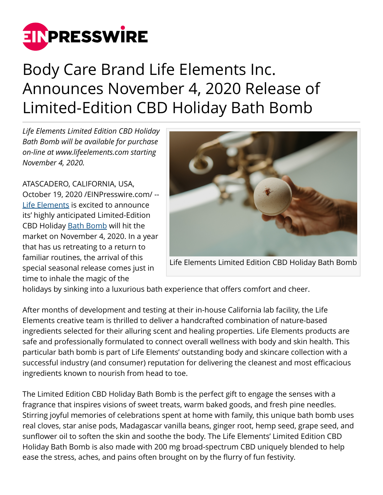

## Body Care Brand Life Elements Inc. Announces November 4, 2020 Release of Limited-Edition CBD Holiday Bath Bomb

*Life Elements Limited Edition CBD Holiday Bath Bomb will be available for purchase on-line at www.lifeelements.com starting November 4, 2020.*

ATASCADERO, CALIFORNIA, USA, October 19, 2020 [/EINPresswire.com](http://www.einpresswire.com)/ -- [Life Elements](http://lifeelements.com) is excited to announce its' highly anticipated Limited-Edition CBD Holiday [Bath Bomb](http://lifeelements.com/collections/bath-bombs) will hit the market on November 4, 2020. In a year that has us retreating to a return to familiar routines, the arrival of this special seasonal release comes just in time to inhale the magic of the



holidays by sinking into a luxurious bath experience that offers comfort and cheer.

After months of development and testing at their in-house California lab facility, the Life Elements creative team is thrilled to deliver a handcrafted combination of nature-based ingredients selected for their alluring scent and healing properties. Life Elements products are safe and professionally formulated to connect overall wellness with body and skin health. This particular bath bomb is part of Life Elements' outstanding body and skincare collection with a successful industry (and consumer) reputation for delivering the cleanest and most efficacious ingredients known to nourish from head to toe.

The Limited Edition CBD Holiday Bath Bomb is the perfect gift to engage the senses with a fragrance that inspires visions of sweet treats, warm baked goods, and fresh pine needles. Stirring joyful memories of celebrations spent at home with family, this unique bath bomb uses real cloves, star anise pods, Madagascar vanilla beans, ginger root, hemp seed, grape seed, and sunflower oil to soften the skin and soothe the body. The Life Elements' Limited Edition CBD Holiday Bath Bomb is also made with 200 mg broad-spectrum CBD uniquely blended to help ease the stress, aches, and pains often brought on by the flurry of fun festivity.